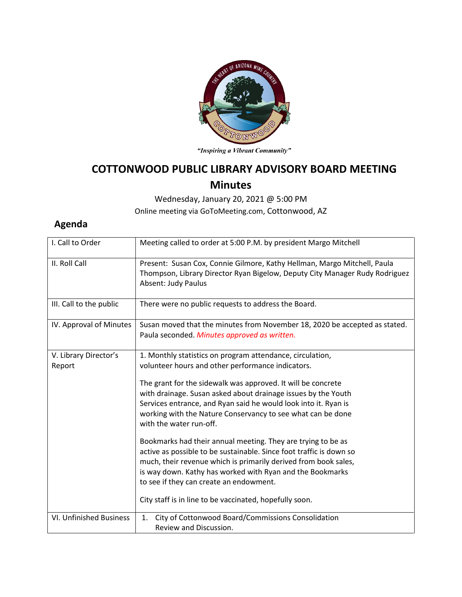

"Inspiring a Vibrant Community"

## **COTTONWOOD PUBLIC LIBRARY ADVISORY BOARD MEETING Minutes**

Wednesday, January 20, 2021 @ 5:00 PM Online meeting via GoToMeeting.com, Cottonwood, AZ

## **Agenda**

| I. Call to Order                | Meeting called to order at 5:00 P.M. by president Margo Mitchell                                                                                                                                                                                                                                                                                                                                                                                                                                                                                                                                                                                                                                                                                                                          |
|---------------------------------|-------------------------------------------------------------------------------------------------------------------------------------------------------------------------------------------------------------------------------------------------------------------------------------------------------------------------------------------------------------------------------------------------------------------------------------------------------------------------------------------------------------------------------------------------------------------------------------------------------------------------------------------------------------------------------------------------------------------------------------------------------------------------------------------|
| II. Roll Call                   | Present: Susan Cox, Connie Gilmore, Kathy Hellman, Margo Mitchell, Paula<br>Thompson, Library Director Ryan Bigelow, Deputy City Manager Rudy Rodriguez<br><b>Absent: Judy Paulus</b>                                                                                                                                                                                                                                                                                                                                                                                                                                                                                                                                                                                                     |
| III. Call to the public         | There were no public requests to address the Board.                                                                                                                                                                                                                                                                                                                                                                                                                                                                                                                                                                                                                                                                                                                                       |
| IV. Approval of Minutes         | Susan moved that the minutes from November 18, 2020 be accepted as stated.<br>Paula seconded. Minutes approved as written.                                                                                                                                                                                                                                                                                                                                                                                                                                                                                                                                                                                                                                                                |
| V. Library Director's<br>Report | 1. Monthly statistics on program attendance, circulation,<br>volunteer hours and other performance indicators.<br>The grant for the sidewalk was approved. It will be concrete<br>with drainage. Susan asked about drainage issues by the Youth<br>Services entrance, and Ryan said he would look into it. Ryan is<br>working with the Nature Conservancy to see what can be done<br>with the water run-off.<br>Bookmarks had their annual meeting. They are trying to be as<br>active as possible to be sustainable. Since foot traffic is down so<br>much, their revenue which is primarily derived from book sales,<br>is way down. Kathy has worked with Ryan and the Bookmarks<br>to see if they can create an endowment.<br>City staff is in line to be vaccinated, hopefully soon. |
| VI. Unfinished Business         | City of Cottonwood Board/Commissions Consolidation<br>1.<br>Review and Discussion.                                                                                                                                                                                                                                                                                                                                                                                                                                                                                                                                                                                                                                                                                                        |